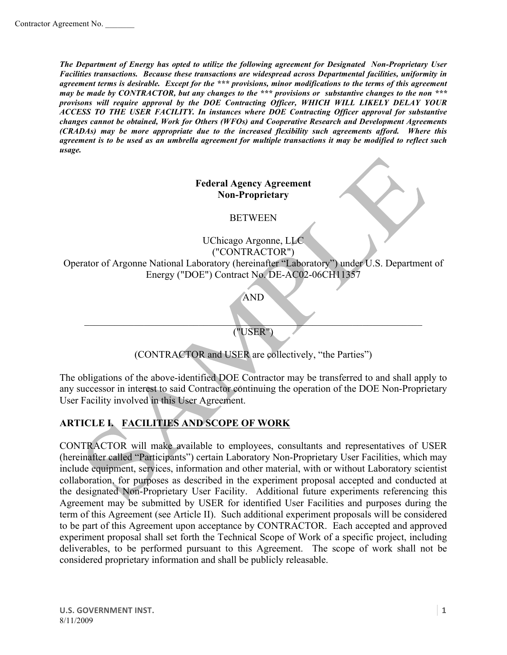*The Department of Energy has opted to utilize the following agreement for Designated Non-Proprietary User Facilities transactions. Because these transactions are widespread across Departmental facilities, uniformity in agreement terms is desirable. Except for the \*\*\* provisions, minor modifications to the terms of this agreement may be made by CONTRACTOR, but any changes to the \*\*\* provisions or substantive changes to the non \*\*\* provisons will require approval by the DOE Contracting Officer, WHICH WILL LIKELY DELAY YOUR ACCESS TO THE USER FACILITY. In instances where DOE Contracting Officer approval for substantive changes cannot be obtained, Work for Others (WFOs) and Cooperative Research and Development Agreements (CRADAs) may be more appropriate due to the increased flexibility such agreements afford. Where this agreement is to be used as an umbrella agreement for multiple transactions it may be modified to reflect such usage.*

#### **Federal Agency Agreement Non-Proprietary**

**BETWEEN** 

UChicago Argonne, LLC ("CONTRACTOR") Operator of Argonne National Laboratory (hereinafter "Laboratory") under U.S. Department of Energy ("DOE") Contract No. DE-AC02-06CH11357

AND

 $\Box$ ("USER")

(CONTRACTOR and USER are collectively, "the Parties")

The obligations of the above-identified DOE Contractor may be transferred to and shall apply to any successor in interest to said Contractor continuing the operation of the DOE Non-Proprietary User Facility involved in this User Agreement.

## **ARTICLE I. FACILITIES AND SCOPE OF WORK**

CONTRACTOR will make available to employees, consultants and representatives of USER (hereinafter called "Participants") certain Laboratory Non-Proprietary User Facilities, which may include equipment, services, information and other material, with or without Laboratory scientist collaboration, for purposes as described in the experiment proposal accepted and conducted at the designated Non-Proprietary User Facility. Additional future experiments referencing this Agreement may be submitted by USER for identified User Facilities and purposes during the term of this Agreement (see Article II). Such additional experiment proposals will be considered to be part of this Agreement upon acceptance by CONTRACTOR. Each accepted and approved experiment proposal shall set forth the Technical Scope of Work of a specific project, including deliverables, to be performed pursuant to this Agreement. The scope of work shall not be considered proprietary information and shall be publicly releasable.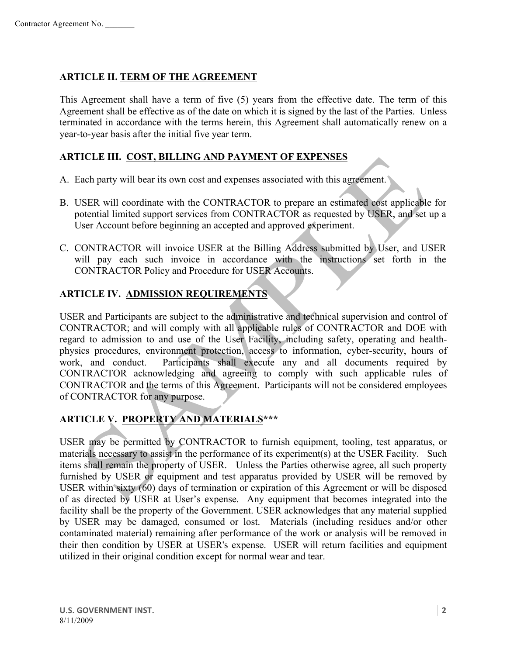#### **ARTICLE II. TERM OF THE AGREEMENT**

This Agreement shall have a term of five (5) years from the effective date. The term of this Agreement shall be effective as of the date on which it is signed by the last of the Parties. Unless terminated in accordance with the terms herein, this Agreement shall automatically renew on a year-to-year basis after the initial five year term.

#### **ARTICLE III. COST, BILLING AND PAYMENT OF EXPENSES**

- A. Each party will bear its own cost and expenses associated with this agreement.
- B. USER will coordinate with the CONTRACTOR to prepare an estimated cost applicable for potential limited support services from CONTRACTOR as requested by USER, and set up a User Account before beginning an accepted and approved experiment.
- C. CONTRACTOR will invoice USER at the Billing Address submitted by User, and USER will pay each such invoice in accordance with the instructions set forth in the CONTRACTOR Policy and Procedure for USER Accounts.

### **ARTICLE IV. ADMISSION REQUIREMENTS**

USER and Participants are subject to the administrative and technical supervision and control of CONTRACTOR; and will comply with all applicable rules of CONTRACTOR and DOE with regard to admission to and use of the User Facility, including safety, operating and healthphysics procedures, environment protection, access to information, cyber-security, hours of work, and conduct. Participants shall execute any and all documents required by CONTRACTOR acknowledging and agreeing to comply with such applicable rules of CONTRACTOR and the terms of this Agreement. Participants will not be considered employees of CONTRACTOR for any purpose.

### **ARTICLE V. PROPERTY AND MATERIALS\*\*\***

USER may be permitted by CONTRACTOR to furnish equipment, tooling, test apparatus, or materials necessary to assist in the performance of its experiment(s) at the USER Facility. Such items shall remain the property of USER. Unless the Parties otherwise agree, all such property furnished by USER or equipment and test apparatus provided by USER will be removed by USER within sixty (60) days of termination or expiration of this Agreement or will be disposed of as directed by USER at User's expense. Any equipment that becomes integrated into the facility shall be the property of the Government. USER acknowledges that any material supplied by USER may be damaged, consumed or lost. Materials (including residues and/or other contaminated material) remaining after performance of the work or analysis will be removed in their then condition by USER at USER's expense. USER will return facilities and equipment utilized in their original condition except for normal wear and tear.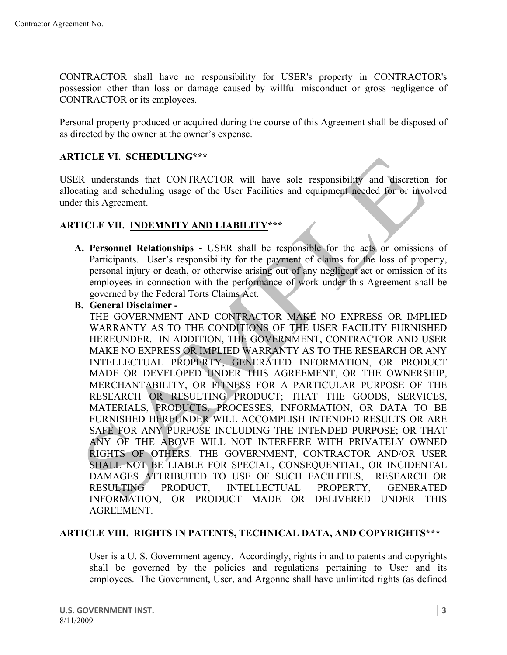CONTRACTOR shall have no responsibility for USER's property in CONTRACTOR's possession other than loss or damage caused by willful misconduct or gross negligence of CONTRACTOR or its employees.

Personal property produced or acquired during the course of this Agreement shall be disposed of as directed by the owner at the owner's expense.

#### **ARTICLE VI. SCHEDULING\*\*\***

USER understands that CONTRACTOR will have sole responsibility and discretion for allocating and scheduling usage of the User Facilities and equipment needed for or involved under this Agreement.

#### **ARTICLE VII. INDEMNITY AND LIABILITY\*\*\***

**A. Personnel Relationships -** USER shall be responsible for the acts or omissions of Participants. User's responsibility for the payment of claims for the loss of property, personal injury or death, or otherwise arising out of any negligent act or omission of its employees in connection with the performance of work under this Agreement shall be governed by the Federal Torts Claims Act.

#### **B. General Disclaimer -**

THE GOVERNMENT AND CONTRACTOR MAKE NO EXPRESS OR IMPLIED WARRANTY AS TO THE CONDITIONS OF THE USER FACILITY FURNISHED HEREUNDER. IN ADDITION, THE GOVERNMENT, CONTRACTOR AND USER MAKE NO EXPRESS OR IMPLIED WARRANTY AS TO THE RESEARCH OR ANY INTELLECTUAL PROPERTY, GENERATED INFORMATION, OR PRODUCT MADE OR DEVELOPED UNDER THIS AGREEMENT, OR THE OWNERSHIP, MERCHANTABILITY, OR FITNESS FOR A PARTICULAR PURPOSE OF THE RESEARCH OR RESULTING PRODUCT; THAT THE GOODS, SERVICES, MATERIALS, PRODUCTS, PROCESSES, INFORMATION, OR DATA TO BE FURNISHED HEREUNDER WILL ACCOMPLISH INTENDED RESULTS OR ARE SAFE FOR ANY PURPOSE INCLUDING THE INTENDED PURPOSE; OR THAT ANY OF THE ABOVE WILL NOT INTERFERE WITH PRIVATELY OWNED RIGHTS OF OTHERS. THE GOVERNMENT, CONTRACTOR AND/OR USER SHALL NOT BE LIABLE FOR SPECIAL, CONSEQUENTIAL, OR INCIDENTAL DAMAGES ATTRIBUTED TO USE OF SUCH FACILITIES, RESEARCH OR RESULTING PRODUCT, INTELLECTUAL PROPERTY, GENERATED INFORMATION, OR PRODUCT MADE OR DELIVERED UNDER THIS AGREEMENT.

#### **ARTICLE VIII. RIGHTS IN PATENTS, TECHNICAL DATA, AND COPYRIGHTS\*\*\***

User is a U. S. Government agency. Accordingly, rights in and to patents and copyrights shall be governed by the policies and regulations pertaining to User and its employees. The Government, User, and Argonne shall have unlimited rights (as defined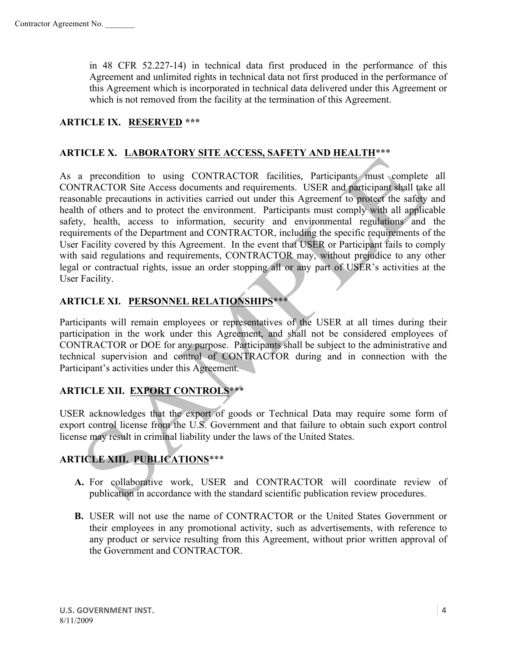in 48 CFR 52.227-14) in technical data first produced in the performance of this Agreement and unlimited rights in technical data not first produced in the performance of this Agreement which is incorporated in technical data delivered under this Agreement or which is not removed from the facility at the termination of this Agreement.

### **ARTICLE IX. RESERVED \*\*\***

#### **ARTICLE X. LABORATORY SITE ACCESS, SAFETY AND HEALTH**\*\*\*

As a precondition to using CONTRACTOR facilities, Participants must complete all CONTRACTOR Site Access documents and requirements. USER and participant shall take all reasonable precautions in activities carried out under this Agreement to protect the safety and health of others and to protect the environment. Participants must comply with all applicable safety, health, access to information, security and environmental regulations and the requirements of the Department and CONTRACTOR, including the specific requirements of the User Facility covered by this Agreement. In the event that USER or Participant fails to comply with said regulations and requirements, CONTRACTOR may, without prejudice to any other legal or contractual rights, issue an order stopping all or any part of USER's activities at the User Facility.

## **ARTICLE XI. PERSONNEL RELATIONSHIPS**\*\*\*

Participants will remain employees or representatives of the USER at all times during their participation in the work under this Agreement, and shall not be considered employees of CONTRACTOR or DOE for any purpose. Participants shall be subject to the administrative and technical supervision and control of CONTRACTOR during and in connection with the Participant's activities under this Agreement.

### **ARTICLE XII. EXPORT CONTROLS**\*\*\*

USER acknowledges that the export of goods or Technical Data may require some form of export control license from the U.S. Government and that failure to obtain such export control license may result in criminal liability under the laws of the United States.

## **ARTICLE XIII. PUBLICATIONS**\*\*\*

- **A.** For collaborative work, USER and CONTRACTOR will coordinate review of publication in accordance with the standard scientific publication review procedures.
- **B.** USER will not use the name of CONTRACTOR or the United States Government or their employees in any promotional activity, such as advertisements, with reference to any product or service resulting from this Agreement, without prior written approval of the Government and CONTRACTOR.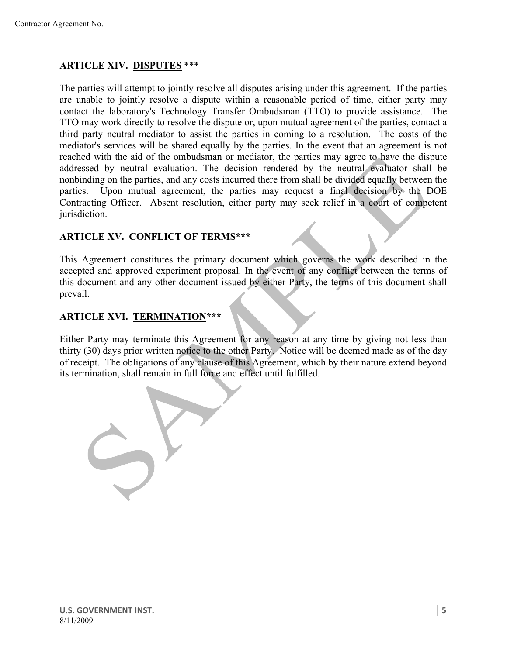#### **ARTICLE XIV. DISPUTES** \*\*\*

The parties will attempt to jointly resolve all disputes arising under this agreement. If the parties are unable to jointly resolve a dispute within a reasonable period of time, either party may contact the laboratory's Technology Transfer Ombudsman (TTO) to provide assistance. The TTO may work directly to resolve the dispute or, upon mutual agreement of the parties, contact a third party neutral mediator to assist the parties in coming to a resolution. The costs of the mediator's services will be shared equally by the parties. In the event that an agreement is not reached with the aid of the ombudsman or mediator, the parties may agree to have the dispute addressed by neutral evaluation. The decision rendered by the neutral evaluator shall be nonbinding on the parties, and any costs incurred there from shall be divided equally between the parties. Upon mutual agreement, the parties may request a final decision by the DOE Contracting Officer. Absent resolution, either party may seek relief in a court of competent jurisdiction.

#### **ARTICLE XV. CONFLICT OF TERMS\*\*\***

This Agreement constitutes the primary document which governs the work described in the accepted and approved experiment proposal. In the event of any conflict between the terms of this document and any other document issued by either Party, the terms of this document shall prevail.

### **ARTICLE XVI. TERMINATION\*\*\***

Either Party may terminate this Agreement for any reason at any time by giving not less than thirty (30) days prior written notice to the other Party. Notice will be deemed made as of the day of receipt. The obligations of any clause of this Agreement, which by their nature extend beyond its termination, shall remain in full force and effect until fulfilled.

U.S. GOVERNMENT INST. 8/11/2009